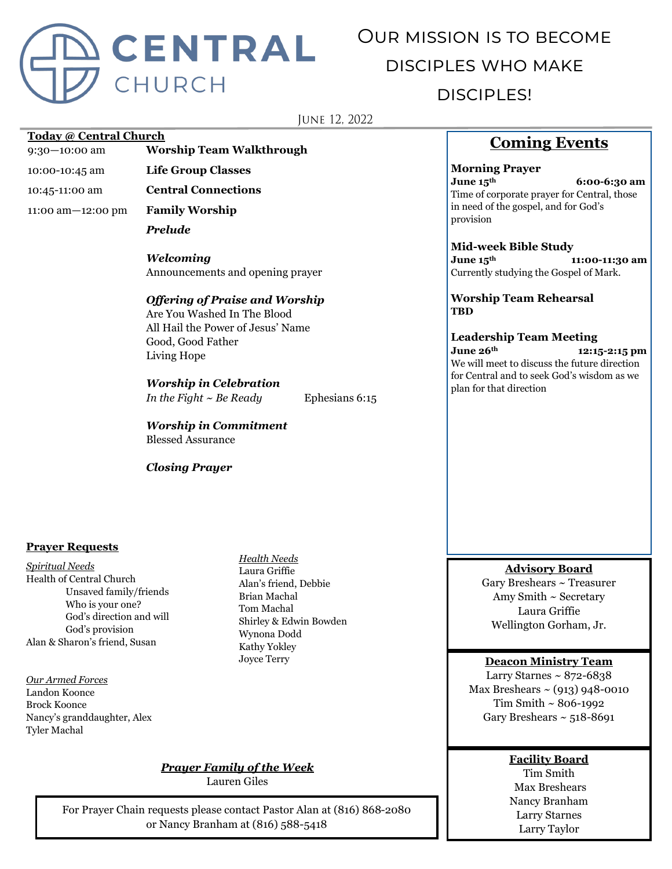

# Our mission is to become disciples who make disciples!

**JUNE 12, 2022** 

#### **Today @ Central Church**

9:30—10:00 am **Worship Team Walkthrough**

10:00-10:45 am **Life Group Classes**

10:45-11:00 am **Central Connections**

11:00 am—12:00 pm **Family Worship**

*Prelude*

*Welcoming* Announcements and opening prayer

#### *Offering of Praise and Worship*

Are You Washed In The Blood All Hail the Power of Jesus' Name Good, Good Father Living Hope

#### *Worship in Celebration*

*In the Fight ~ Be Ready* Ephesians 6:15

*Worship in Commitment* Blessed Assurance

*Closing Prayer*

#### **Prayer Requests**

*Spiritual Needs* Health of Central Church Unsaved family/friends Who is your one? God's direction and will God's provision Alan & Sharon's friend, Susan

*Our Armed Forces* Landon Koonce Brock Koonce Nancy's granddaughter, Alex Tyler Machal

*Health Needs* Laura Griffie Alan's friend, Debbie Brian Machal Tom Machal Shirley & Edwin Bowden Wynona Dodd Kathy Yokley Joyce Terry

### *Prayer Family of the Week*

Lauren Giles

For Prayer Chain requests please contact Pastor Alan at (816) 868-2080 or Nancy Branham at (816) 588-5418

## **Coming Events**

**Morning Prayer June 15th 6:00-6:30 am** Time of corporate prayer for Central, those in need of the gospel, and for God's provision

#### **Mid-week Bible Study**

**June 15th 11:00-11:30 am** Currently studying the Gospel of Mark.

**Worship Team Rehearsal TBD**

# **Leadership Team Meeting**

**June 26th 12:15-2:15 pm** We will meet to discuss the future direction for Central and to seek God's wisdom as we plan for that direction

#### **Advisory Board**

Gary Breshears ~ Treasurer Amy Smith ~ Secretary Laura Griffie Wellington Gorham, Jr.

#### **Deacon Ministry Team**

Larry Starnes  $\sim 872 - 6838$ Max Breshears  $\sim$  (913) 948-0010 Tim Smith ~ 806-1992 Gary Breshears  $\sim$  518-8691

#### **Facility Board**

Tim Smith Max Breshears Nancy Branham Larry Starnes Larry Taylor